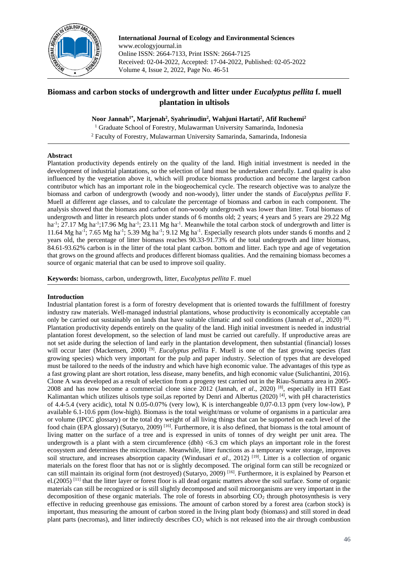

**International Journal of Ecology and Environmental Sciences** www.ecologyjournal.in Online ISSN: 2664-7133, Print ISSN: 2664-7125 Received: 02-04-2022, Accepted: 17-04-2022, Published: 02-05-2022 Volume 4, Issue 2, 2022, Page No. 46-51

# **Biomass and carbon stocks of undergrowth and litter under** *Eucalyptus pellita* **f. muell plantation in ultisols**

**Noor Jannah1\* , Marjenah<sup>2</sup> , Syahrinudin<sup>2</sup> , Wahjuni Hartati<sup>2</sup> , Afif Ruchemi<sup>2</sup>**

<sup>1</sup> Graduate School of Forestry, Mulawarman University Samarinda, Indonesia

<sup>2</sup> Faculty of Forestry, Mulawarman University Samarinda, Samarinda, Indonesia

## **Abstract**

Plantation productivity depends entirely on the quality of the land. High initial investment is needed in the development of industrial plantations, so the selection of land must be undertaken carefully. Land quality is also influenced by the vegetation above it, which will produce biomass production and become the largest carbon contributor which has an important role in the biogeochemical cycle. The research objective was to analyze the biomass and carbon of undergrowth (woody and non-woody), litter under the stands of *Eucalyptus pellita* F. Muell at different age classes, and to calculate the percentage of biomass and carbon in each component. The analysis showed that the biomass and carbon of non-woody undergrowth was lower than litter. Total biomass of undergrowth and litter in research plots under stands of 6 months old; 2 years; 4 years and 5 years are 29.22 Mg ha<sup>-1</sup>; 27.17 Mg ha<sup>-1</sup>;17.96 Mg ha<sup>-1</sup>; 23.11 Mg ha<sup>-1</sup>. Meanwhile the total carbon stock of undergrowth and litter is 11.64 Mg ha<sup>-1</sup>; 7.65 Mg ha<sup>-1</sup>; 5.39 Mg ha<sup>-1</sup>; 9.12 Mg ha<sup>-1</sup>. Especially research plots under stands 6 months and 2 years old, the percentage of litter biomass reaches 90.33-91.73% of the total undergrowth and litter biomass, 84.61-93.62% carbon is in the litter of the total plant carbon. bottom and litter. Each type and age of vegetation that grows on the ground affects and produces different biomass qualities. And the remaining biomass becomes a source of organic material that can be used to improve soil quality.

**Keywords:** biomass, carbon, undergrowth, litter, *Eucalyptus pellita* F. muel

## **Introduction**

Industrial plantation forest is a form of forestry development that is oriented towards the fulfillment of forestry industry raw materials. Well-managed industrial plantations, whose productivity is economically acceptable can only be carried out sustainably on lands that have suitable climatic and soil conditions (Jannah et al., 2020)<sup>[8]</sup>. Plantation productivity depends entirely on the quality of the land. High initial investment is needed in industrial plantation forest development, so the selection of land must be carried out carefully. If unproductive areas are not set aside during the selection of land early in the plantation development, then substantial (financial) losses will occur later (Mackensen, 2000)<sup>[9]</sup>. *Eucalyptus pellit*a F. Muell is one of the fast growing species (fast growing species) which very important for the pulp and paper industry. Selection of types that are developed must be tailored to the needs of the industry and which have high economic value. The advantages of this type as a fast growing plant are short rotation, less disease, many benefits, and high economic value (Sulichantini, 2016). Clone A was developed as a result of selection from a progeny test carried out in the Riau-Sumatra area in 2005- 2008 and has now become a commercial clone since 2012 (Jannah, *et al*., 2020) [8], especially in HTI East Kalimantan which utilizes ultisols type soil, as reported by Denri and Albertus (2020)<sup>[4]</sup>, with pH characteristics of 4.4-5.4 (very acidic), total N 0.05-0.07% (very low), K is interchangeable 0,07-0.13 ppm (very low-low), P available 6.1-10.6 ppm (low-high). Biomass is the total weight/mass or volume of organisms in a particular area or volume (IPCC glossary) or the total dry weight of all living things that can be supported on each level of the food chain (EPA glossary) (Sutaryo, 2009) [16]. Furthermore, it is also defined, that biomass is the total amount of living matter on the surface of a tree and is expressed in units of tonnes of dry weight per unit area. The undergrowth is a plant with a stem circumference (dbh) <6.3 cm which plays an important role in the forest ecosystem and determines the microclimate. Meanwhile, litter functions as a temporary water storage, improves soil structure, and increases absorption capacity (Windusari *et al.*, 2012)<sup>[19]</sup>. Litter is a collection of organic materials on the forest floor that has not or is slightly decomposed. The original form can still be recognized or can still maintain its original form (not destroyed) (Sutaryo, 2009) [16]. Furthermore, it is explained by Pearson et  $el.(2005)$ <sup>[11]</sup> that the litter layer or forest floor is all dead organic matters above the soil surface. Some of organic materials can still be recognized or is still slightly decomposed and soil microorganisms are very important in the decomposition of these organic materials. The role of forests in absorbing  $CO<sub>2</sub>$  through photosynthesis is very effective in reducing greenhouse gas emissions. The amount of carbon stored by a forest area (carbon stock) is important, thus measuring the amount of carbon stored in the living plant body (biomass) and still stored in dead plant parts (necromas), and litter indirectly describes  $CO<sub>2</sub>$  which is not released into the air through combustion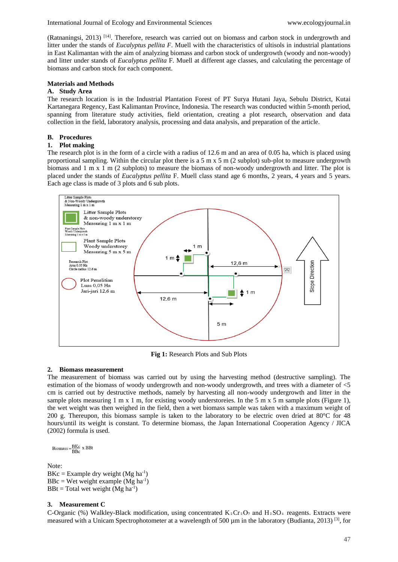International Journal of Ecology and Environmental Sciences www.ecologyjournal.in

(Ratnaningsi, 2013) [14]. Therefore, research was carried out on biomass and carbon stock in undergrowth and litter under the stands of *Eucalyptus pellita F*. Muell with the characteristics of ultisols in industrial plantations in East Kalimantan with the aim of analyzing biomass and carbon stock of undergrowth (woody and non-woody) and litter under stands of *Eucalyptus pellita* F. Muell at different age classes, and calculating the percentage of biomass and carbon stock for each component.

#### **Materials and Methods**

#### **A. Study Area**

The research location is in the Industrial Plantation Forest of PT Surya Hutani Jaya, Sebulu District, Kutai Kartanegara Regency, East Kalimantan Province, Indonesia. The research was conducted within 5-month period, spanning from literature study activities, field orientation, creating a plot research, observation and data collection in the field, laboratory analysis, processing and data analysis, and preparation of the article.

#### **B. Procedures**

#### **1. Plot making**

The research plot is in the form of a circle with a radius of 12.6 m and an area of 0.05 ha, which is placed using proportional sampling. Within the circular plot there is a 5 m x 5 m (2 subplot) sub-plot to measure undergrowth biomass and 1 m x 1 m (2 subplots) to measure the biomass of non-woody undergrowth and litter. The plot is placed under the stands of *Eucalyptus pellita* F. Muell class stand age 6 months, 2 years, 4 years and 5 years. Each age class is made of 3 plots and 6 sub plots.



**Fig 1:** Research Plots and Sub Plots

#### **2. Biomass measurement**

The measurement of biomass was carried out by using the harvesting method (destructive sampling). The estimation of the biomass of woody undergrowth and non-woody undergrowth, and trees with a diameter of <5 cm is carried out by destructive methods, namely by harvesting all non-woody undergrowth and litter in the sample plots measuring 1 m x 1 m, for existing woody understoreies. In the 5 m x 5 m sample plots (Figure 1), the wet weight was then weighed in the field, then a wet biomass sample was taken with a maximum weight of 200 g. Thereupon, this biomass sample is taken to the laboratory to be electric oven dried at 80°C for 48 hours/until its weight is constant. To determine biomass, the Japan International Cooperation Agency / JICA (2002) formula is used.

Biomass =  $\frac{\text{BKc}}{\text{BBc}}$  x BBt

Note:

 $B Kc = Example dry weight (Mg ha<sup>-1</sup>)$  $BBC = Wet$  weight example (Mg ha<sup>-1</sup>)  $BBt = Total$  wet weight (Mg ha<sup>-1</sup>)

## **3. Measurement C**

C-Organic (%) Walkley-Black modification, using concentrated  $K_2Cr_2O_7$  and  $H_2SO_4$  reagents. Extracts were measured with a Unicam Spectrophotometer at a wavelength of 500 µm in the laboratory (Budianta, 2013) [3], for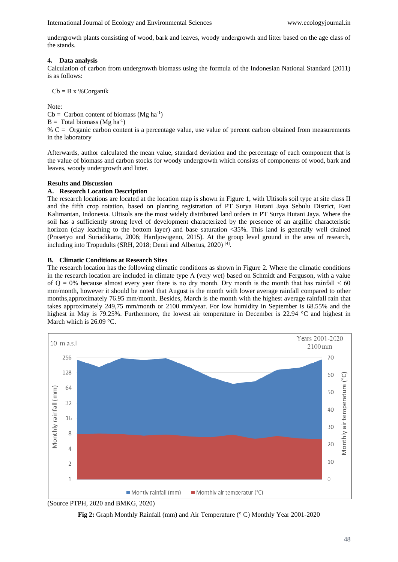International Journal of Ecology and Environmental Sciences www.ecologyjournal.in

undergrowth plants consisting of wood, bark and leaves, woody undergrowth and litter based on the age class of the stands.

# **4. Data analysis**

Calculation of carbon from undergrowth biomass using the formula of the Indonesian National Standard (2011) is as follows:

 $Cb = B \times \% C$ organik

Note:

 $Cb = Carbon content of biomass (Mg ha<sup>-1</sup>)$ 

 $B = \text{Total biomass} (Mg ha^{-1})$ 

% C = Organic carbon content is a percentage value, use value of percent carbon obtained from measurements in the laboratory

Afterwards, author calculated the mean value, standard deviation and the percentage of each component that is the value of biomass and carbon stocks for woody undergrowth which consists of components of wood, bark and leaves, woody undergrowth and litter.

# **Results and Discussion**

# **A. Research Location Description**

The research locations are located at the location map is shown in Figure 1, with Ultisols soil type at site class II and the fifth crop rotation, based on planting registration of PT Surya Hutani Jaya Sebulu District, East Kalimantan, Indonesia. Ultisols are the most widely distributed land orders in PT Surya Hutani Jaya. Where the soil has a sufficiently strong level of development characterized by the presence of an argillic characteristic horizon (clay leaching to the bottom layer) and base saturation <35%. This land is generally well drained (Prasetyo and Suriadikarta, 2006; Hardjowigeno, 2015). At the group level ground in the area of research, including into Tropudults (SRH, 2018; Denri and Albertus, 2020)<sup>[4]</sup>.

# **B. Climatic Conditions at Research Sites**

The research location has the following climatic conditions as shown in Figure 2. Where the climatic conditions in the research location are included in climate type A (very wet) based on Schmidt and Ferguson, with a value of  $Q = 0\%$  because almost every year there is no dry month. Dry month is the month that has rainfall  $\leq 60$ mm/month, however it should be noted that August is the month with lower average rainfall compared to other months,approximately 76.95 mm/month. Besides, March is the month with the highest average rainfall rain that takes approximately 249,75 mm/month or 2100 mm/year. For low humidity in September is 68.55% and the highest in May is 79.25%. Furthermore, the lowest air temperature in December is 22.94 °C and highest in March which is 26.09 °C.



(Source PTPH, 2020 and BMKG, 2020)

**Fig 2:** Graph Monthly Rainfall (mm) and Air Temperature (° C) Monthly Year 2001-2020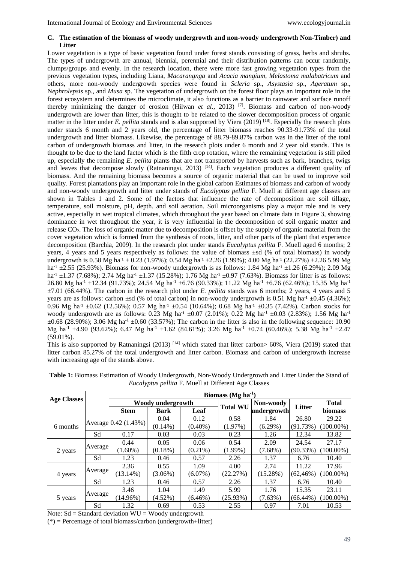## **C. The estimation of the biomass of woody undergrowth and non-woody undergrowth Non-Timber) and Litter**

Lower vegetation is a type of basic vegetation found under forest stands consisting of grass, herbs and shrubs. The types of undergrowth are annual, biennial, perennial and their distribution patterns can occur randomly, clumps/groups and evenly. In the research location, there were more fast growing vegetation types from the previous vegetation types, including Liana, *Macarangnga* and *Acacia mangium*, *Melastoma malabatricum* and others, more non-woody undergrowth species were found in *Scleria* sp., *Asystasia* sp., *Ageratum* sp., N*ephrolepsis* sp., and *Musa* sp. The vegetation of undergrowth on the forest floor plays an important role in the forest ecosystem and determines the microclimate, it also functions as a barrier to rainwater and surface runoff thereby minimizing the danger of erosion (Hilwan *et al*., 2013) [7] . Biomass and carbon of non-woody undergrowth are lower than litter, this is thought to be related to the slower decomposition process of organic matter in the litter under *E. pellita* stands and is also supported by Viera (2019) <sup>[18]</sup>. Especially the research plots under stands 6 month and 2 years old, the percentage of litter biomass reaches 90.33-91.73% of the total undergrowth and litter biomass. Likewise, the percentage of 88.79-89.87% carbon was in the litter of the total carbon of undergrowth biomass and litter, in the research plots under 6 month and 2 year old stands. This is thought to be due to the land factor which is the fifth crop rotation, where the remaining vegetation is still piled up, especially the remaining *E. pellita* plants that are not transported by harvests such as bark, branches, twigs and leaves that decompose slowly (Ratnaningsi, 2013)<sup>[14]</sup>. Each vegetation produces a different quality of biomass. And the remaining biomass becomes a source of organic material that can be used to improve soil quality. Forest plantations play an important role in the global carbon Estimates of biomass and carbon of woody and non-woody undergrowth and litter under stands of *Eucalyptus pellita* F. Muell at different age classes are shown in Tables 1 and 2. Some of the factors that influence the rate of decomposition are soil tillage, temperature, soil moisture, pH, depth. and soil aeration. Soil microorganisms play a major role and is very active, especially in wet tropical climates, which throughout the year based on climate data in Figure 3, showing dominance in wet throughout the year, it is very influential in the decomposition of soil organic matter and release CO2. The loss of organic matter due to decomposition is offset by the supply of organic material from the cover vegetation which is formed from the synthesis of roots, litter, and other parts of the plant that experience decomposition (Barchia, 2009). In the research plot under stands *Eucalyptus pellita* F. Muell aged 6 months; 2 years, 4 years and 5 years respectively as follows: the value of biomass ±sd (% of total biomass) in woody undergrowth is 0.58 Mg ha<sup>-1</sup> ± 0.23 (1.97%); 0.54 Mg ha<sup>-1</sup> ± 2.26 (1.99%); 4.00 Mg ha<sup>-1</sup> (22.27%) ± 2.26 5.99 Mg ha<sup>-1</sup>  $\pm$ 2.55 (25.93%). Biomass for non-woody undergrowth is as follows: 1.84 Mg ha<sup>-1</sup>  $\pm$ 1.26 (6.29%); 2.09 Mg ha<sup>-1</sup> ±1.37 (7.68%); 2.74 Mg ha<sup>-1</sup> ±1.37 (15.28%); 1.76 Mg ha<sup>-1</sup> ±0.97 (7.63%). Biomass for litter is as follows: 26.80 Mg ha<sup>-1</sup>  $\pm$ 12.34 (91.73%); 24.54 Mg ha<sup>-1</sup>  $\pm$ 6.76 (90.33%); 11.22 Mg ha<sup>-1</sup>  $\pm$ 6.76 (62.46%); 15.35 Mg ha<sup>-1</sup> ±7.01 (66.44%). The carbon in the research plot under *E. pellita* stands was 6 months; 2 years, 4 years and 5 years are as follows: carbon  $\pm$ sd (% of total carbon) in non-woody undergrowth is 0.51 Mg ha<sup>-1</sup>  $\pm$ 0.45 (4.36%); 0.96 Mg ha<sup>-1</sup> ±0.62 (12.56%); 0.57 Mg ha<sup>-1</sup> ±0.54 (10.64%); 0.68 Mg ha<sup>-1</sup> ±0.35 (7.42%). Carbon stocks for woody undergrowth are as follows: 0.23 Mg ha<sup>-1</sup>  $\pm$ 0.07 (2.01%); 0.22 Mg ha<sup>-1</sup>  $\pm$ 0.03 (2.83%); 1.56 Mg ha<sup>-1</sup>  $\pm 0.68$  (28.90%); 3.06 Mg ha<sup>-1</sup>  $\pm 0.60$  (33.57%); The carbon in the litter is also in the following sequence: 10.90 Mg ha<sup>-1</sup>  $\pm$ 4.90 (93.62%); 6.47 Mg ha<sup>-1</sup>  $\pm$ 1.62 (84.61%); 3.26 Mg ha<sup>-1</sup>  $\pm$ 0.74 (60.46%); 5.38 Mg ha<sup>-1</sup>  $\pm$ 2.47  $(59.01\%)$ .

This is also supported by Ratnaningsi (2013)  $[14]$  which stated that litter carbon> 60%, Viera (2019) stated that litter carbon 85.27% of the total undergrowth and litter carbon. Biomass and carbon of undergrowth increase with increasing age of the stands above.

|                    |         | Biomass (Mg ha $1$ ) |             |            |                 |             |              |                |  |  |  |
|--------------------|---------|----------------------|-------------|------------|-----------------|-------------|--------------|----------------|--|--|--|
| <b>Age Classes</b> |         | Woody undergrowth    |             |            |                 | Non-woody   |              | <b>Total</b>   |  |  |  |
|                    |         | <b>Stem</b>          | <b>Bark</b> | Leaf       | <b>Total WU</b> | undergrowth | Litter       | <b>biomass</b> |  |  |  |
| 6 months           |         | Average 0.42 (1.43%) | 0.04        | 0.12       | 0.58            | 1.84        | 26.80        | 29.22          |  |  |  |
|                    |         |                      | $(0.14\%)$  | $(0.40\%)$ | (1.97%)         | $(6.29\%)$  | (91.73%)     | $(100.00\%)$   |  |  |  |
|                    | Sd      | 0.17                 | 0.03        | 0.03       | 0.23            | 1.26        | 12.34        | 13.82          |  |  |  |
| 2 years            | Average | 0.44                 | 0.05        | 0.06       | 0.54            | 2.09        | 24.54        | 27.17          |  |  |  |
|                    |         | $(1.60\%)$           | $(0.18\%)$  | $(0.21\%)$ | $(1.99\%)$      | $(7.68\%)$  | (90.33%)     | $(100.00\%)$   |  |  |  |
|                    | Sd      | 1.23                 | 0.46        | 0.57       | 2.26            | 1.37        | 6.76         | 10.40          |  |  |  |
| 4 years            | Average | 2.36                 | 0.55        | 1.09       | 4.00            | 2.74        | 11.22        | 17.96          |  |  |  |
|                    |         | $(13.14\%)$          | $(3.06\%)$  | $(6.07\%)$ | (22.27%)        | (15.28%)    | $(62, 46\%)$ | $(100.00\%)$   |  |  |  |
|                    | Sd      | 1.23                 | 0.46        | 0.57       | 2.26            | 1.37        | 6.76         | 10.40          |  |  |  |
| 5 years            | Average | 3.46                 | 1.04        | 1.49       | 5.99            | 1.76        | 15.35        | 23.11          |  |  |  |
|                    |         | $(14.96\%)$          | $(4.52\%)$  | $(6.46\%)$ | (25.93%)        | (7.63%)     | $(66.44\%)$  | $(100.00\%)$   |  |  |  |
|                    | Sd      | 1.32                 | 0.69        | 0.53       | 2.55            | 0.97        | 7.01         | 10.53          |  |  |  |

**Table 1:** Biomass Estimation of Woody Undergrowth, Non-Woody Undergrowth and Litter Under the Stand of *Eucalyptus pellita* F. Muell at Different Age Classes

Note:  $Sd =$  Standard deviation  $WU =$  Woody undergrowth

 $(*)$  = Percentage of total biomass/carbon (undergrowth+litter)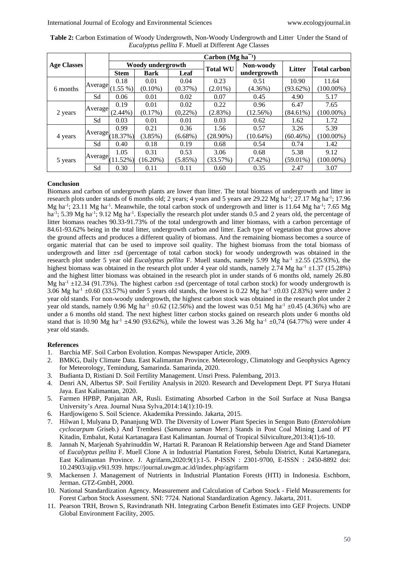|                    |         | Carbon ( $Mg$ ha <sup>-1</sup> ) |             |            |                 |             |               |                     |  |  |  |
|--------------------|---------|----------------------------------|-------------|------------|-----------------|-------------|---------------|---------------------|--|--|--|
| <b>Age Classes</b> |         | Woody undergrowth                |             |            | <b>Total WU</b> | Non-woody   | <b>Litter</b> | <b>Total carbon</b> |  |  |  |
|                    |         | <b>Stem</b>                      | <b>Bark</b> | Leaf       |                 | undergrowth |               |                     |  |  |  |
| 6 months           | Average | 0.18                             | 0.01        | 0.04       | 0.23            | 0.51        | 10.90         | 11.64               |  |  |  |
|                    |         | $(1.55\%)$                       | $(0.10\%)$  | (0.37%)    | $(2.01\%)$      | $(4.36\%)$  | $(93.62\%)$   | $(100.00\%)$        |  |  |  |
|                    | Sd      | 0.06                             | 0.01        | 0.02       | 0.07            | 0.45        | 4.90          | 5.17                |  |  |  |
| 2 years            | Average | 0.19                             | 0.01        | 0.02       | 0.22            | 0.96        | 6.47          | 7.65                |  |  |  |
|                    |         | $(2.44\%)$                       | (0.17%)     | $(0,22\%)$ | (2.83%)         | $(12.56\%)$ | $(84.61\%)$   | $(100.00\%)$        |  |  |  |
|                    | Sd      | 0.03                             | 0.01        | 0.01       | 0.03            | 0.62        | 1.62          | 1.72                |  |  |  |
| 4 years            | Average | 0.99                             | 0.21        | 0.36       | 1.56            | 0.57        | 3.26          | 5.39                |  |  |  |
|                    |         | (18.37%)                         | (3.85%)     | $(6.68\%)$ | $(28.90\%)$     | $(10.64\%)$ | $(60.46\%)$   | $(100.00\%)$        |  |  |  |
|                    | Sd      | 0.40                             | 0.18        | 0.19       | 0.68            | 0.54        | 0.74          | 1.42                |  |  |  |
| 5 years            | Average | 1.05                             | 0.31        | 0.53       | 3.06            | 0.68        | 5.38          | 9.12                |  |  |  |
|                    |         | $(11.52\%)$                      | $(16.20\%)$ | (5.85%)    | (33.57%)        | $(7.42\%)$  | $(59.01\%)$   | $(100.00\%)$        |  |  |  |
|                    | Sd      | 0.30                             | 0.11        | 0.11       | 0.60            | 0.35        | 2.47          | 3.07                |  |  |  |

**Table 2:** Carbon Estimation of Woody Undergrowth, Non-Woody Undergrowth and Litter Under the Stand of *Eucalyptus pellita* F. Muell at Different Age Classes

#### **Conclusion**

Biomass and carbon of undergrowth plants are lower than litter. The total biomass of undergrowth and litter in research plots under stands of 6 months old; 2 years; 4 years and 5 years are 29.22 Mg ha<sup>-1</sup>; 27.17 Mg ha<sup>-1</sup>; 17.96 Mg ha<sup>-1</sup>; 23.11 Mg ha<sup>-1</sup>. Meanwhile, the total carbon stock of undergrowth and litter is 11.64 Mg ha<sup>-1</sup>; 7.65 Mg ha<sup>-1</sup>; 5.39 Mg ha<sup>-1</sup>; 9.12 Mg ha<sup>-1</sup>. Especially the research plot under stands 0.5 and 2 years old, the percentage of litter biomass reaches 90.33-91.73% of the total undergrowth and litter biomass, with a carbon percentage of 84.61-93.62% being in the total litter, undergrowth carbon and litter. Each type of vegetation that grows above the ground affects and produces a different quality of biomass. And the remaining biomass becomes a source of organic material that can be used to improve soil quality. The highest biomass from the total biomass of undergrowth and litter  $\pm$ sd (percentage of total carbon stock) for woody undergrowth was obtained in the research plot under 5 year old *Eucalyptus pellita* F. Muell stands, namely 5.99 Mg ha<sup>-1</sup>  $\pm$ 2.55 (25.93%), the highest biomass was obtained in the research plot under 4 year old stands, namely 2.74 Mg ha<sup>-1</sup>  $\pm$ 1.37 (15.28%) and the highest litter biomass was obtained in the research plot in under stands of 6 months old, namely 26.80 Mg ha<sup>-1</sup>  $\pm$ 12.34 (91.73%). The highest carbon  $\pm$ sd (percentage of total carbon stock) for woody undergrowth is 3.06 Mg ha<sup>-1</sup>  $\pm$ 0.60 (33.57%) under 5 years old stands, the lowest is 0.22 Mg ha<sup>-1</sup>  $\pm$ 0.03 (2.83%) were under 2 year old stands. For non-woody undergrowth, the highest carbon stock was obtained in the research plot under 2 year old stands, namely 0.96 Mg ha<sup>-1</sup>  $\pm$ 0.62 (12.56%) and the lowest was 0.51 Mg ha<sup>-1</sup>  $\pm$ 0.45 (4.36%) who are under a 6 months old stand. The next highest litter carbon stocks gained on research plots under 6 months old stand that is 10.90 Mg ha<sup>-1</sup>  $\pm$ 4.90 (93.62%), while the lowest was 3.26 Mg ha<sup>-1</sup>  $\pm$ 0,74 (64.77%) were under 4 year old stands.

## **References**

- 1. Barchia MF. Soil Carbon Evolution. Kompas Newspaper Article, 2009.
- 2. BMKG, Daily Climate Data. East Kalimantan Province. Meteorology, Climatology and Geophysics Agency for Meteorology, Temindung, Samarinda. Samarinda, 2020.
- 3. Budianta D, Ristiani D. Soil Fertility Management. Unsri Press. Palembang, 2013.
- 4. Denri AN, Albertus SP. Soil Fertility Analysis in 2020. Research and Development Dept. PT Surya Hutani Jaya. East Kalimantan, 2020.
- 5. Farmen HPBP, Panjaitan AR, Rusli. Estimating Absorbed Carbon in the Soil Surface at Nusa Bangsa University's Area. Journal Nusa Sylva,2014:14(1):10-19.
- 6. Hardjowigeno S. Soil Science. Akademika Pressindo. Jakarta, 2015.
- 7. Hilwan I, Mulyana D, Pananjung WD. The Diversity of Lower Plant Species in Sengon Buto (*Enterolobium cyclocarpum* Griseb.) And Trembesi (*Samanea saman* Merr.) Stands in Post Coal Mining Land of PT Kitadin, Embalut, Kutai Kartanagara East Kalimantan. Journal of Tropical Silviculture,2013:4(1):6-10.
- 8. Jannah N, Marjenah Syahrinuddin W, Hartati R. Paranoan R Relationship between Age and Stand Diameter of *Eucalyptus pellita* F. Muell Clone A in Industrial Plantation Forest, Sebulu District, Kutai Kartanegara, East Kalimantan Province. J. Agrifarm,2020:9(1):1-5. P-ISSN : 2301-9700, E-ISSN : 2450-8892 doi: 10.24903/ajip.v9i1.939. https://journal.uwgm.ac.id/index.php/agrifarm
- 9. Mackensen J. Management of Nutrients in Industrial Plantation Forests (HTI) in Indonesia. Eschborn, Jerman. GTZ-GmbH, 2000.
- 10. National Standardization Agency. Measurement and Calculation of Carbon Stock Field Measurements for Forest Carbon Stock Assessment. SNI: 7724. National Standardization Agency. Jakarta, 2011.
- 11. Pearson TRH, Brown S, Ravindranath NH. Integrating Carbon Benefit Estimates into GEF Projects. UNDP Global Environment Facility, 2005.